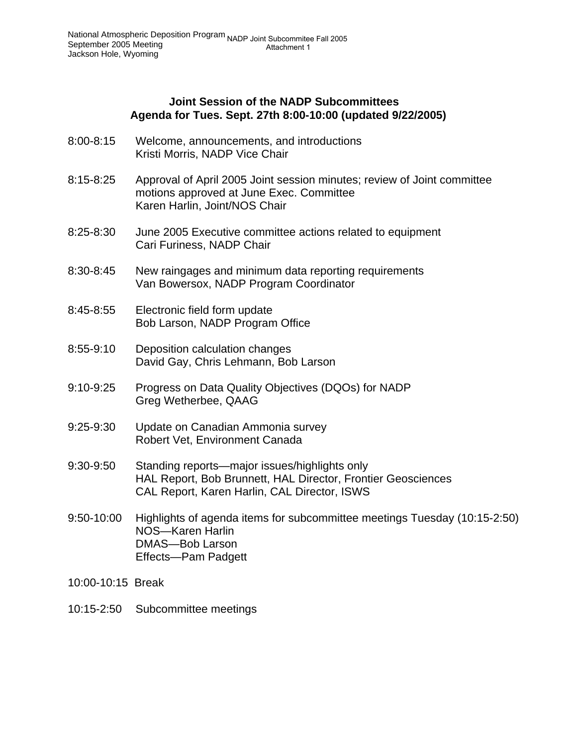### **Joint Session of the NADP Subcommittees Agenda for Tues. Sept. 27th 8:00-10:00 (updated 9/22/2005)**

- 8:00-8:15 Welcome, announcements, and introductions Kristi Morris, NADP Vice Chair
- 8:15-8:25 Approval of April 2005 Joint session minutes; review of Joint committee motions approved at June Exec. Committee Karen Harlin, Joint/NOS Chair
- 8:25-8:30 June 2005 Executive committee actions related to equipment Cari Furiness, NADP Chair
- 8:30-8:45 New raingages and minimum data reporting requirements Van Bowersox, NADP Program Coordinator
- 8:45-8:55 Electronic field form update Bob Larson, NADP Program Office
- 8:55-9:10 Deposition calculation changes David Gay, Chris Lehmann, Bob Larson
- 9:10-9:25 Progress on Data Quality Objectives (DQOs) for NADP Greg Wetherbee, QAAG
- 9:25-9:30 Update on Canadian Ammonia survey Robert Vet, Environment Canada
- 9:30-9:50 Standing reports—major issues/highlights only HAL Report, Bob Brunnett, HAL Director, Frontier Geosciences CAL Report, Karen Harlin, CAL Director, ISWS
- 9:50-10:00 Highlights of agenda items for subcommittee meetings Tuesday (10:15-2:50) NOS—Karen Harlin DMAS—Bob Larson Effects—Pam Padgett
- 10:00-10:15 Break
- 10:15-2:50 Subcommittee meetings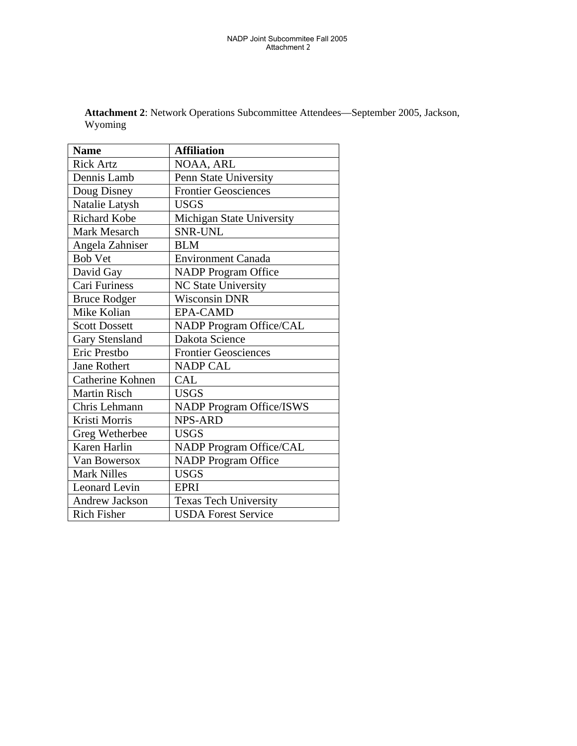| <b>Name</b>           | <b>Affiliation</b>              |
|-----------------------|---------------------------------|
| <b>Rick Artz</b>      | NOAA, ARL                       |
| Dennis Lamb           | Penn State University           |
| Doug Disney           | <b>Frontier Geosciences</b>     |
| Natalie Latysh        | <b>USGS</b>                     |
| <b>Richard Kobe</b>   | Michigan State University       |
| Mark Mesarch          | <b>SNR-UNL</b>                  |
| Angela Zahniser       | <b>BLM</b>                      |
| <b>Bob Vet</b>        | <b>Environment Canada</b>       |
| David Gay             | <b>NADP</b> Program Office      |
| Cari Furiness         | NC State University             |
| <b>Bruce Rodger</b>   | <b>Wisconsin DNR</b>            |
| Mike Kolian           | <b>EPA-CAMD</b>                 |
| <b>Scott Dossett</b>  | <b>NADP Program Office/CAL</b>  |
| <b>Gary Stensland</b> | Dakota Science                  |
| Eric Prestbo          | <b>Frontier Geosciences</b>     |
| <b>Jane Rothert</b>   | <b>NADP CAL</b>                 |
| Catherine Kohnen      | <b>CAL</b>                      |
| <b>Martin Risch</b>   | <b>USGS</b>                     |
| Chris Lehmann         | <b>NADP Program Office/ISWS</b> |
| Kristi Morris         | <b>NPS-ARD</b>                  |
| Greg Wetherbee        | <b>USGS</b>                     |
| Karen Harlin          | NADP Program Office/CAL         |
| Van Bowersox          | <b>NADP</b> Program Office      |
| <b>Mark Nilles</b>    | <b>USGS</b>                     |
| Leonard Levin         | <b>EPRI</b>                     |
| <b>Andrew Jackson</b> | <b>Texas Tech University</b>    |
| <b>Rich Fisher</b>    | <b>USDA Forest Service</b>      |

**Attachment 2**: Network Operations Subcommittee Attendees—September 2005, Jackson, Wyoming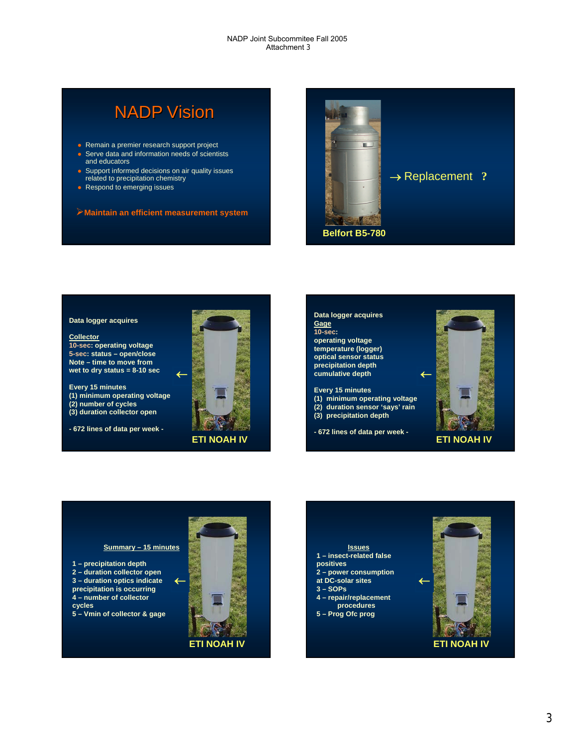# NADP Vision

- $\bullet$  Remain a premier research support project
- $\bullet$  Serve data and information needs of scientists
- and educators
- **•** Support informed decisions on air quality issues related to precipitation chemistry
- Respond to emerging issues
- ¾**Maintain an efficient measurement system**



#### **Data logger acquires**

**Collector 10-sec: operating voltage 5-sec: status – open/close Note – time to move from wet to dry status = 8-10 sec**

**Every 15 minutes (1) minimum operating voltage (2) number of cycles (3) duration collector open**

**- 672 lines of data per week -**







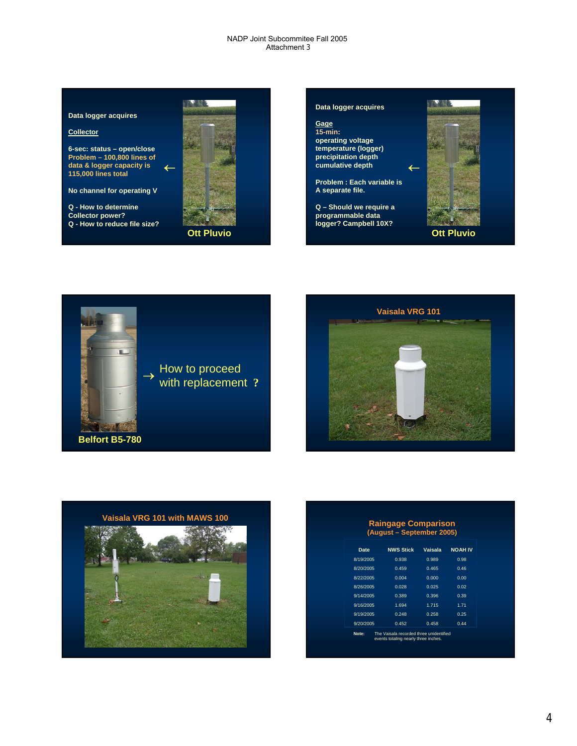#### **Data logger acquires**

#### **Collector**

**6-sec: status – open/close Problem – 100,800 lines of data & logger capacity is 115,000 lines total**

**No channel for operating V**

**Q - How to determine Collector power? Q - How to reduce file size?**





**Ott Pluvio**



→





| <b>Raingage Comparison</b><br>(August – September 2005) |                                                                                 |         |                |  |
|---------------------------------------------------------|---------------------------------------------------------------------------------|---------|----------------|--|
| <b>Date</b>                                             | <b>NWS Stick</b>                                                                | Vaisala | <b>NOAH IV</b> |  |
| 8/19/2005                                               | 0.938                                                                           | 0.989   | 0.98           |  |
| 8/20/2005                                               | 0.459                                                                           | 0.465   | 0.46           |  |
| 8/22/2005                                               | 0.004                                                                           | 0.000   | 0.00           |  |
| 8/26/2005                                               | 0.028                                                                           | 0.025   | 0.02           |  |
| 9/14/2005                                               | 0.389                                                                           | 0.396   | 0.39           |  |
| 9/16/2005                                               | 1.694                                                                           | 1.715   | 1.71           |  |
| 9/19/2005                                               | 0.248                                                                           | 0.258   | 0.25           |  |
| 9/20/2005                                               | 0.452                                                                           | 0.458   | 0.44           |  |
| Note:                                                   | The Vaisala recorded three unidentified<br>events totaling nearly three inches. |         |                |  |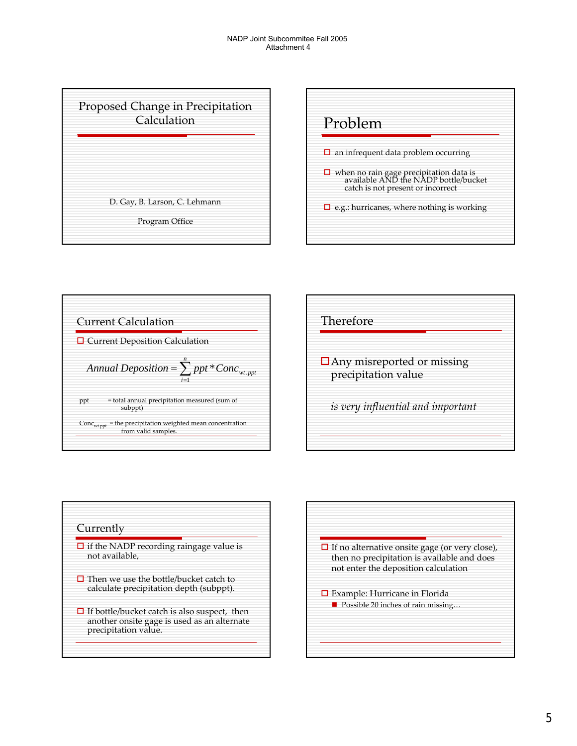









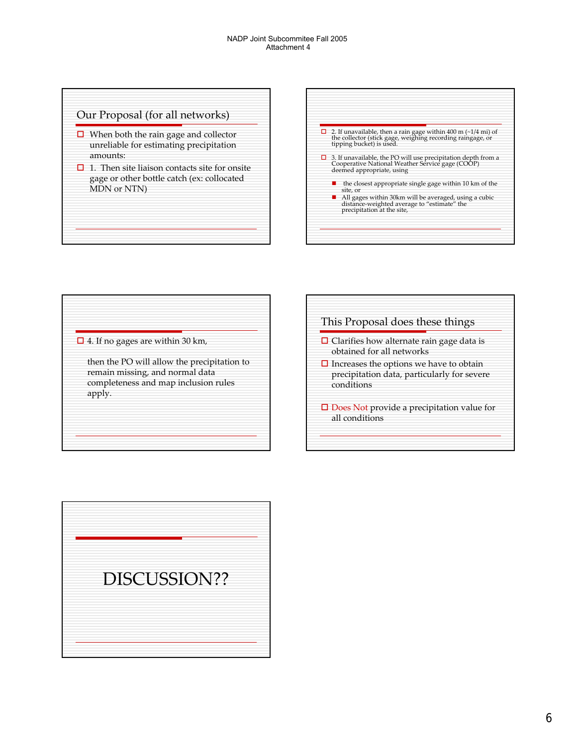### Our Proposal (for all networks)

- $\Box$  When both the rain gage and collector unreliable for estimating precipitation amounts:
- $\Box$  1. Then site liaison contacts site for onsite gage or other bottle catch (ex: collocated MDN or NTN)



### $\Box$  4. If no gages are within 30 km,

then the PO will allow the precipitation to remain missing, and normal data completeness and map inclusion rules apply.



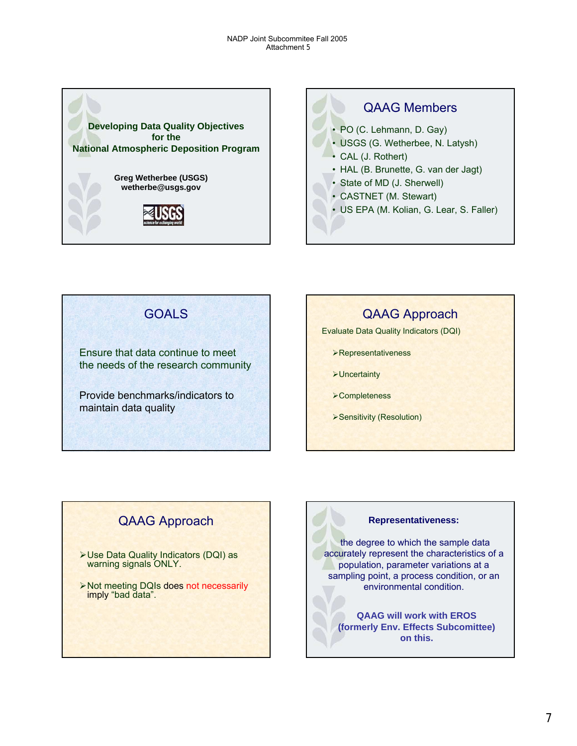



GOALS Ensure that data continue to meet the needs of the research community Provide benchmarks/indicators to maintain data quality

# QAAG Approach

Evaluate Data Quality Indicators (DQI)

- ¾Representativeness
- **>Uncertainty**
- **≻Completeness**
- ¾Sensitivity (Resolution)

# QAAG Approach

- ¾Use Data Quality Indicators (DQI) as warning signals ONLY.
- ¾Not meeting DQIs does not necessarily imply "bad data".

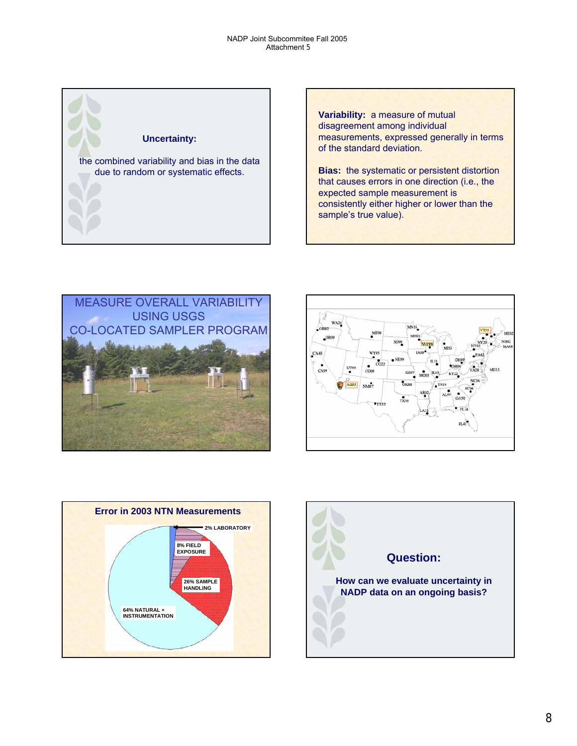

**Variability:** a measure of mutual disagreement among individual measurements, expressed generally in terms of the standard deviation.

**Bias:** the systematic or persistent distortion that causes errors in one direction (i.e., the expected sample measurement is consistently either higher or lower than the sample's true value).







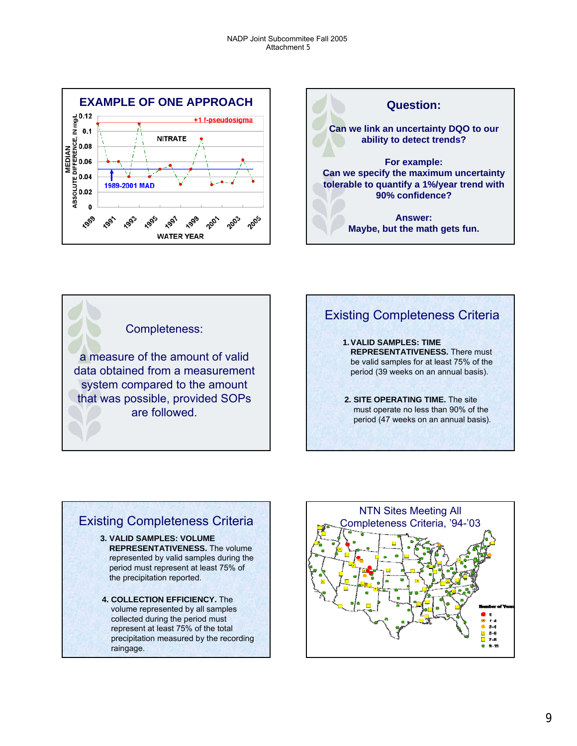



Completeness:

a measure of the amount of valid data obtained from a measurement system compared to the amount that was possible, provided SOPs are followed.



### Existing Completeness Criteria **3. VALID SAMPLES: VOLUME REPRESENTATIVENESS.** The volume represented by valid samples during the period must represent at least 75% of the precipitation reported. **4. COLLECTION EFFICIENCY.** The volume represented by all samples collected during the period must represent at least 75% of the total precipitation measured by the recording raingage.

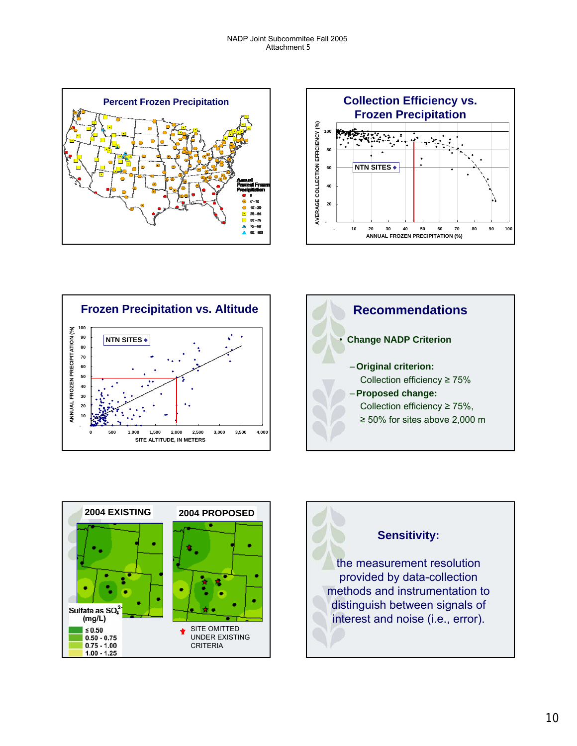









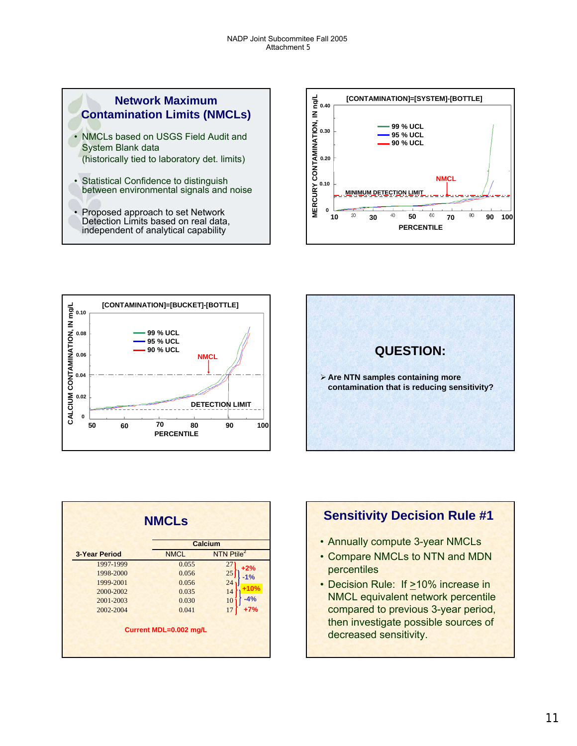## **Network Maximum Contamination Limits (NMCLs)**

- NMCLs based on USGS Field Audit and System Blank data (historically tied to laboratory det. limits)
- Statistical Confidence to distinguish between environmental signals and noise
- Proposed approach to set Network Detection Limits based on real data, independent of analytical capability







|                      | <b>Calcium</b> |                        |
|----------------------|----------------|------------------------|
| <b>3-Year Period</b> | <b>NMCL</b>    | NTN Ptile <sup>2</sup> |
| 1997-1999            | 0.055          | 27<br>$+2%$            |
| 1998-2000            | 0.056          | 25<br>$-1%$            |
| 1999-2001            | 0.056          | 24                     |
| 2000-2002            | 0.035          | +10%<br>14             |
| 2001-2003            | 0.030          | $-4%$<br>10            |
| 2002-2004            | 0.041          | 17<br>$+7%$            |

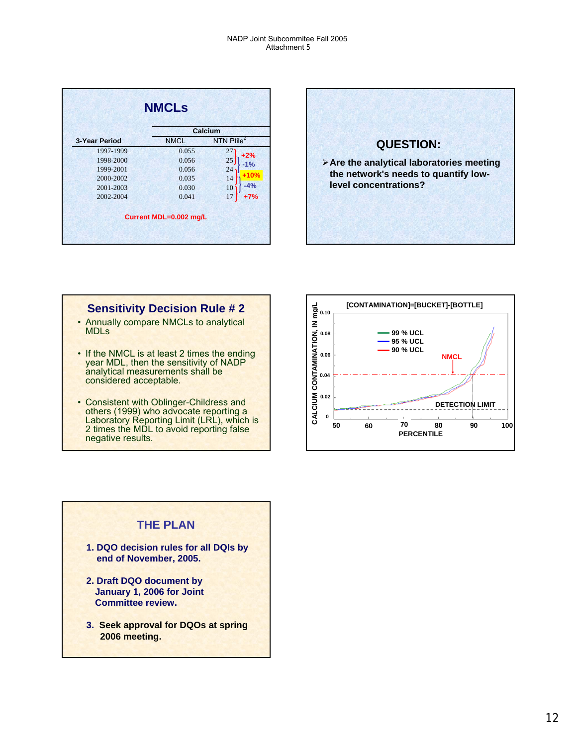|                      |             | Calcium                |
|----------------------|-------------|------------------------|
| <b>3-Year Period</b> | <b>NMCL</b> | NTN Ptile <sup>2</sup> |
| 1997-1999            | 0.055       | 27<br>$+2%$            |
| 1998-2000            | 0.056       | 25<br>$-1%$            |
| 1999-2001            | 0.056       | 24                     |
| 2000-2002            | 0.035       | $+10%$<br>14           |
| 2001-2003            | 0.030       | $-4%$<br>10            |
| 2002-2004            | 0.041       | $+7%$<br>17            |



# **Sensitivity Decision Rule # 2**

- Annually compare NMCLs to analytical MDLs
- If the NMCL is at least 2 times the ending year MDL, then the sensitivity of NADP analytical measurements shall be considered acceptable.
- Consistent with Oblinger-Childress and others (1999) who advocate reporting a Laboratory Reporting Limit (LRL), which is 2 times the MDL to avoid reporting false negative results.



# **THE PLAN**

- **1. DQO decision rules for all DQIs by end of November, 2005.**
- **2. Draft DQO document by January 1, 2006 for Joint Committee review.**
- **3. Seek approval for DQOs at spring 2006 meeting.**